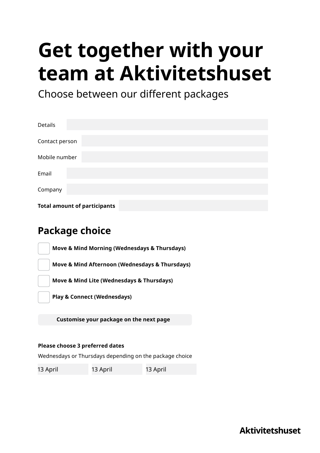# **Get together with your team at Aktivitetshuset**

Choose between our different packages

| Details                             |
|-------------------------------------|
| Contact person                      |
| Mobile number                       |
| Email                               |
| Company                             |
| <b>Total amount of participants</b> |

## **Package choice**

**Move & Mind Morning (Wednesdays & Thursdays)**

**Move & Mind Afternoon (Wednesdays & Thursdays)**

**Move & Mind Lite (Wednesdays & Thursdays)**

**Play & Connect (Wednesdays)**

 **Customise your package on the next page**

#### **Please choose 3 preferred dates**

Wednesdays or Thursdays depending on the package choice

13 April 13 April 13 April

**Aktivitetshuset**